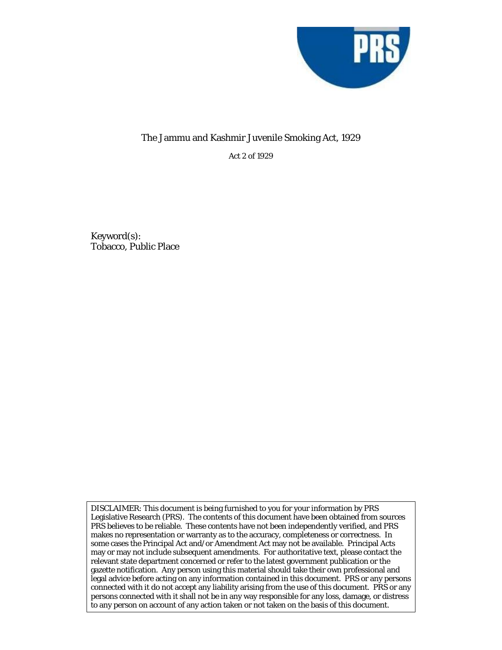

## The Jammu and Kashmir Juvenile Smoking Act, 1929

Act 2 of 1929

Keyword(s): Tobacco, Public Place

DISCLAIMER: This document is being furnished to you for your information by PRS Legislative Research (PRS). The contents of this document have been obtained from sources PRS believes to be reliable. These contents have not been independently verified, and PRS makes no representation or warranty as to the accuracy, completeness or correctness. In some cases the Principal Act and/or Amendment Act may not be available. Principal Acts may or may not include subsequent amendments. For authoritative text, please contact the relevant state department concerned or refer to the latest government publication or the gazette notification. Any person using this material should take their own professional and legal advice before acting on any information contained in this document. PRS or any persons connected with it do not accept any liability arising from the use of this document. PRS or any persons connected with it shall not be in any way responsible for any loss, damage, or distress to any person on account of any action taken or not taken on the basis of this document.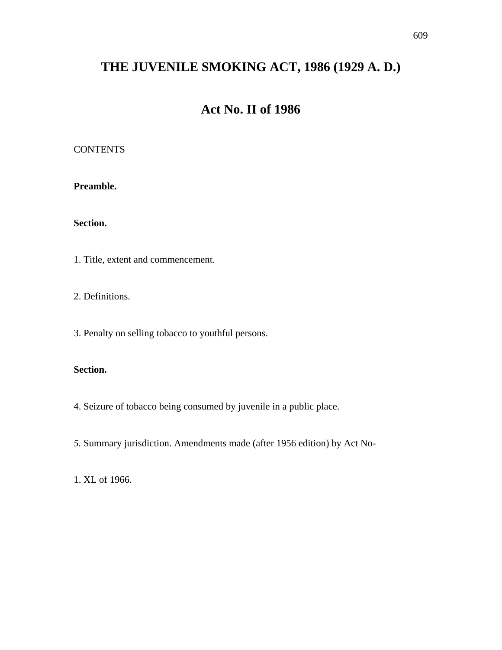# **THE JUVENILE SMOKING ACT, 1986 (1929 A. D.)**

## **Act No. II of 1986**

### **CONTENTS**

**Preamble.** 

**Section.** 

1. Title, extent and commencement.

2. Definitions.

3. Penalty on selling tobacco to youthful persons.

### **Section.**

- 4. Seizure of tobacco being consumed by juvenile in a public place.
- *5.* Summary jurisdiction. Amendments made (after 1956 edition) by Act No-

1. XL of 1966.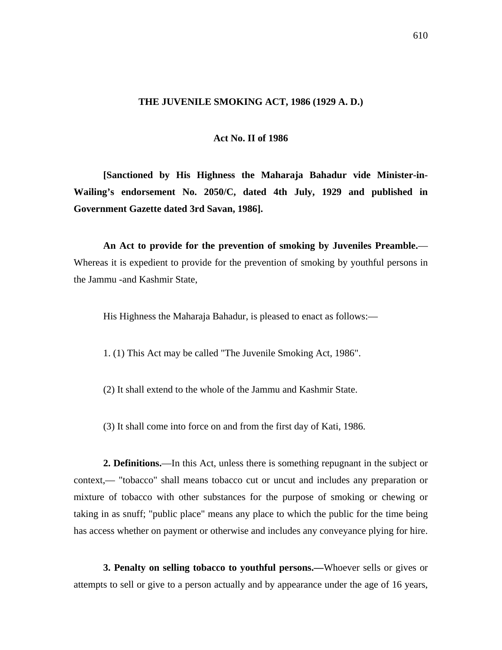#### **THE JUVENILE SMOKING ACT, 1986 (1929 A. D.)**

#### **Act No. II of 1986**

 **[Sanctioned by His Highness the Maharaja Bahadur vide Minister-in-Wailing's endorsement No. 2050/C, dated 4th July, 1929 and published in Government Gazette dated 3rd Savan, 1986].** 

 **An Act to provide for the prevention of smoking by Juveniles Preamble.**— Whereas it is expedient to provide for the prevention of smoking by youthful persons in the Jammu -and Kashmir State,

His Highness the Maharaja Bahadur, is pleased to enact as follows:—

1. (1) This Act may be called "The Juvenile Smoking Act, 1986".

- (2) It shall extend to the whole of the Jammu and Kashmir State.
- (3) It shall come into force on and from the first day of Kati, 1986.

 **2. Definitions.**—In this Act, unless there is something repugnant in the subject or context,— "tobacco" shall means tobacco cut or uncut and includes any preparation or mixture of tobacco with other substances for the purpose of smoking or chewing or taking in as snuff; "public place" means any place to which the public for the time being has access whether on payment or otherwise and includes any conveyance plying for hire.

 **3. Penalty on selling tobacco to youthful persons.—**Whoever sells or gives or attempts to sell or give to a person actually and by appearance under the age of 16 years,